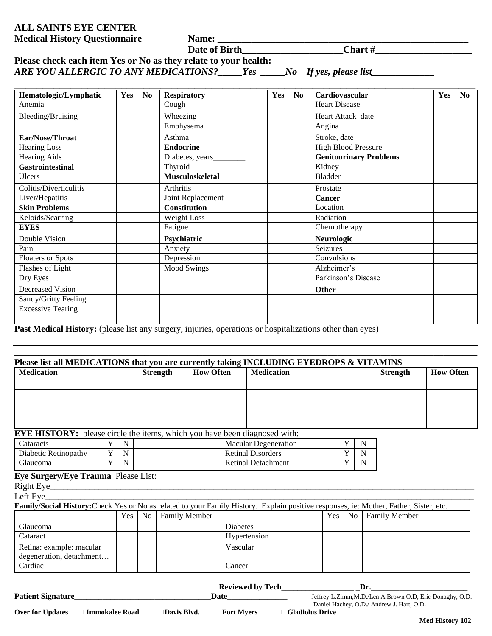## **ALL SAINTS EYE CENTER Medical History Questionnaire Name: \_\_\_\_\_\_\_\_\_\_\_\_\_\_\_\_\_\_\_\_\_\_\_\_\_\_\_\_\_\_\_\_\_\_\_\_\_\_\_\_\_\_\_\_\_\_\_\_\_\_\_\_**

**Date of Birth\_\_\_\_\_\_\_\_\_\_\_\_\_\_\_\_\_\_\_\_\_Chart #\_\_\_\_\_\_\_\_\_\_\_\_\_\_\_\_\_\_\_\_**

| Please check each item Yes or No as they relate to your health: |     |                               |
|-----------------------------------------------------------------|-----|-------------------------------|
| ARE YOU ALLERGIC TO ANY MEDICATIONS?                            | Yes | $\Box$ No If yes, please list |

| Hematologic/Lymphatic    | Yes | N <sub>0</sub> | <b>Respiratory</b>     | Yes | N <sub>0</sub> | Cardiovascular                | Yes | N <sub>0</sub> |
|--------------------------|-----|----------------|------------------------|-----|----------------|-------------------------------|-----|----------------|
| Anemia                   |     |                | Cough                  |     |                | <b>Heart Disease</b>          |     |                |
| Bleeding/Bruising        |     |                | Wheezing               |     |                | Heart Attack date             |     |                |
|                          |     |                | Emphysema              |     |                | Angina                        |     |                |
| Ear/Nose/Throat          |     |                | Asthma                 |     |                | Stroke, date                  |     |                |
| <b>Hearing Loss</b>      |     |                | <b>Endocrine</b>       |     |                | <b>High Blood Pressure</b>    |     |                |
| <b>Hearing Aids</b>      |     |                | Diabetes, years        |     |                | <b>Genitourinary Problems</b> |     |                |
| <b>Gastrointestinal</b>  |     |                | Thyroid                |     |                | Kidney                        |     |                |
| <b>Ulcers</b>            |     |                | <b>Musculoskeletal</b> |     |                | <b>Bladder</b>                |     |                |
| Colitis/Diverticulitis   |     |                | Arthritis              |     |                | Prostate                      |     |                |
| Liver/Hepatitis          |     |                | Joint Replacement      |     |                | <b>Cancer</b>                 |     |                |
| <b>Skin Problems</b>     |     |                | <b>Constitution</b>    |     |                | Location                      |     |                |
| Keloids/Scarring         |     |                | Weight Loss            |     |                | Radiation                     |     |                |
| <b>EYES</b>              |     |                | Fatigue                |     |                | Chemotherapy                  |     |                |
| Double Vision            |     |                | Psychiatric            |     |                | Neurologic                    |     |                |
| Pain                     |     |                | Anxiety                |     |                | Seizures                      |     |                |
| <b>Floaters or Spots</b> |     |                | Depression             |     |                | Convulsions                   |     |                |
| Flashes of Light         |     |                | <b>Mood Swings</b>     |     |                | Alzheimer's                   |     |                |
| Dry Eyes                 |     |                |                        |     |                | Parkinson's Disease           |     |                |
| Decreased Vision         |     |                |                        |     |                | Other                         |     |                |
| Sandy/Gritty Feeling     |     |                |                        |     |                |                               |     |                |
| <b>Excessive Tearing</b> |     |                |                        |     |                |                               |     |                |
|                          |     |                |                        |     |                |                               |     |                |

**Past Medical History:** (please list any surgery, injuries, operations or hospitalizations other than eyes)

| Please list all MEDICATIONS that you are currently taking INCLUDING EYEDROPS & VITAMINS<br><b>Medication</b>                           |                |             |                | <b>How Often</b><br><b>Strength</b> |                                                                                                                                                                                                                                     | <b>Medication</b>           | <b>Strength</b> | <b>How Often</b> |   |                                                          |  |
|----------------------------------------------------------------------------------------------------------------------------------------|----------------|-------------|----------------|-------------------------------------|-------------------------------------------------------------------------------------------------------------------------------------------------------------------------------------------------------------------------------------|-----------------------------|-----------------|------------------|---|----------------------------------------------------------|--|
|                                                                                                                                        |                |             |                |                                     |                                                                                                                                                                                                                                     |                             |                 |                  |   |                                                          |  |
|                                                                                                                                        |                |             |                |                                     |                                                                                                                                                                                                                                     |                             |                 |                  |   |                                                          |  |
|                                                                                                                                        |                |             |                |                                     |                                                                                                                                                                                                                                     |                             |                 |                  |   |                                                          |  |
| EYE HISTORY: please circle the items, which you have been diagnosed with:                                                              |                |             |                |                                     |                                                                                                                                                                                                                                     |                             |                 |                  |   |                                                          |  |
| Cataracts                                                                                                                              | $\mathbf Y$    | $\mathbf N$ |                |                                     |                                                                                                                                                                                                                                     | <b>Macular Degeneration</b> |                 | Y                | N |                                                          |  |
| Diabetic Retinopathy                                                                                                                   | $\mathbf Y$    | $\mathbf N$ |                |                                     | <b>Retinal Disorders</b>                                                                                                                                                                                                            |                             |                 | Y                | N |                                                          |  |
| Glaucoma                                                                                                                               | $\overline{Y}$ | N           |                |                                     | <b>Retinal Detachment</b>                                                                                                                                                                                                           |                             |                 | Y                | N |                                                          |  |
| Eye Surgery/Eye Trauma Please List:                                                                                                    |                |             |                |                                     |                                                                                                                                                                                                                                     |                             |                 |                  |   |                                                          |  |
|                                                                                                                                        |                |             |                |                                     |                                                                                                                                                                                                                                     |                             |                 |                  |   |                                                          |  |
| Left Eye_                                                                                                                              |                |             |                |                                     |                                                                                                                                                                                                                                     |                             |                 |                  |   |                                                          |  |
| Family/Social History: Check Yes or No as related to your Family History. Explain positive responses, ie: Mother, Father, Sister, etc. |                |             |                |                                     |                                                                                                                                                                                                                                     |                             |                 |                  |   |                                                          |  |
|                                                                                                                                        |                | Yes         | N <sub>0</sub> | <b>Family Member</b>                |                                                                                                                                                                                                                                     |                             | Yes             | N <sub>0</sub>   |   | <b>Family Member</b>                                     |  |
| Glaucoma                                                                                                                               |                |             |                |                                     | <b>Diabetes</b>                                                                                                                                                                                                                     |                             |                 |                  |   |                                                          |  |
| Cataract                                                                                                                               |                |             |                |                                     | Hypertension                                                                                                                                                                                                                        |                             |                 |                  |   |                                                          |  |
| Retina: example: macular                                                                                                               |                |             |                |                                     | Vascular                                                                                                                                                                                                                            |                             |                 |                  |   |                                                          |  |
| degeneration, detachment                                                                                                               |                |             |                |                                     |                                                                                                                                                                                                                                     |                             |                 |                  |   |                                                          |  |
| Cardiac                                                                                                                                |                |             |                |                                     | Cancer                                                                                                                                                                                                                              |                             |                 |                  |   |                                                          |  |
|                                                                                                                                        |                |             |                |                                     |                                                                                                                                                                                                                                     |                             |                 |                  |   |                                                          |  |
|                                                                                                                                        |                |             |                |                                     |                                                                                                                                                                                                                                     |                             |                 |                  |   | $\mathbf{Dr.}$                                           |  |
|                                                                                                                                        |                |             |                |                                     | <b>Date</b> and the set of the set of the set of the set of the set of the set of the set of the set of the set of the set of the set of the set of the set of the set of the set of the set of the set of the set of the set of th |                             |                 |                  |   | Jeffrey L.Zimm, M.D./Len A.Brown O.D, Eric Donaghy, O.D. |  |